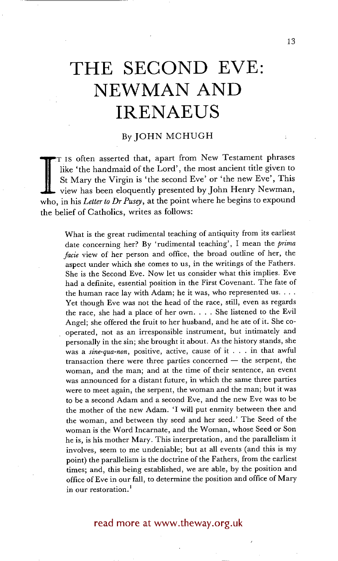# **THE SECOND EVE: NEWMAN AND IRENAEUS**

## By JOHN MCHUGH

St Mary the Virgin is 'the second Eve' or 'the new Eve', This view has been eloquently presented by John Henry Newman, who, in his *Letter to Dr Pusey*, at the point where he begins to expound T IS often asserted that, apart from New Testament phrases like 'the handmaid of the Lord', the most ancient title given to St Mary the Virgin is 'the second Eve' or 'the new Eve', This view has been eloquently presented by John Henry Newman, the belief of Catholics, writes as follows:

What is the great rudimental teaching of antiquity from its earliest date concerning her? By 'rudimental teaching', I mean the *prima facie* view of her person and office, the broad outline of her, the aspect under which she comes to us, in the writings of the Fathers. She is the Second Eve. Now let us consider what this implies. Eve had a definite, essential position in the First Covenant. The fate of the human race lay with Adam; he it was, who represented us.  $\dots$ Yet though Eve was not the head of the race, still, even as regards the race, she had a place of her own .... She listened to the Evil Angel; she offered the fruit to her husband, and he ate of it. She cooperated, not as an irresponsible instrument, but intimately and personally in the sin; she brought it about. As the history stands, she was a *sine-qua-non,* positive, active, cause of it . . . in that awful  $transaction$  there were three parties concerned  $-$  the serpent, the woman, and the man; and at the time of their sentence, an event was announced for a distant future, in which the same three parties were to meet again, the serpent, the woman and the man; but it was to be a second Adam and a second Eve, and the new Eve was to be the mother of the new Adam. 'I will put enmity between thee and the woman, and between thy seed and her seed.' The Seed of the woman is the Word Incarnate, and the Woman, whose Seed or Son he is, is his mother Mary. This interpretation, and the parallelism it involves, seem to me undeniable; but at all events (and this is my point) the parallelism is the doctrine of the Fathers, from the earliest times; and, this being established, we are able, by the position and office of Eve in our fall, to determine the position and office of Mary in our restoration.<sup>1</sup>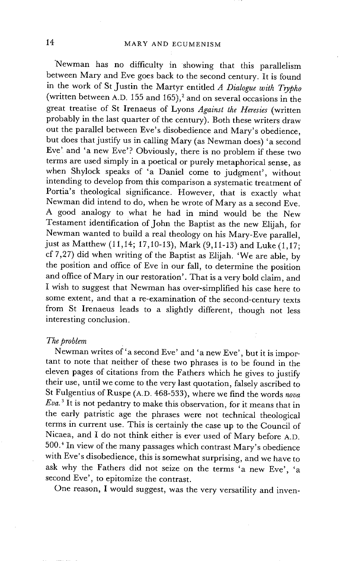"Newman has no difficulty in showing that this parallelism between Mary and Eve goes back to the second century. It is found in the work of St Justin the Martyr entitled *A Dialogue with Trypho*  (written between A.D. 155 and 165),<sup>2</sup> and on several occasions in the great treatise of St Irenaeus of Lyons *Against the Heresies* (written probably in the last quarter of the century). Both these writers draw out the parallel between Eve's disobedience and Mary's obedience, but does that justify us in calling Mary (as Newman does) 'a second Eve' and 'a new Eve'? Obviously, there is no problem if these two terms are used simply in a poetical or purely metaphorical sense, as when Shylock speaks of 'a Daniel come to judgment', without intending to develop from this comparison a systematic treatment of Portia's theological significance. However, that is exactly what Newman did intend to do, when he wrote of Mary as a second Eve. A good analogy to what he had in mind would be the New Testament identification of John the Baptist as the new Elijah, for Newman wanted to build a real theology on his Mary-Eve parallel, just as Matthew (11,14; 17,10-13), Mark (9,11-13) and Luke (1,17; cf 7,27) did when writing of the Baptist as Elijah. 'We are able, by the position and office of Eve in our fall, to determine the position and office of Mary in our restoration'. That is a very bold claim, and I wish to suggest that Newman has over-simplified his case here to some extent, and that a re-examination of the second-century texts from St Irenaeus leads to a slightly different, though not less interesting conclusion.

#### *The problem*

Newman writes of'a second Eve' and 'a new Eve', but it is important to note that neither of these two phrases is to be found in the eleven pages of citations from the Fathers which he gives to justify their use, until we come to the very last quotation, falsely ascribed to St Fulgentius of Ruspe (A.D. 468-533), where we find the words *nova Eva. 3* It is not pedantry to make this observation, for it means that in the early patristic age the phrases were not technical theological terms in current use. This is certainly the case up to the Council of Nicaea, and I do not think either is ever used of Mary before A.D. 500. ~ In view of the many passages which contrast Mary's obedience with Eve's disobedience, this is somewhat surprising, and we have to ask why the Fathers did not seize on the terms 'a new Eve', 'a second Eve', to epitomize the contrast.

One reason, I would suggest, was the very versatility and inven-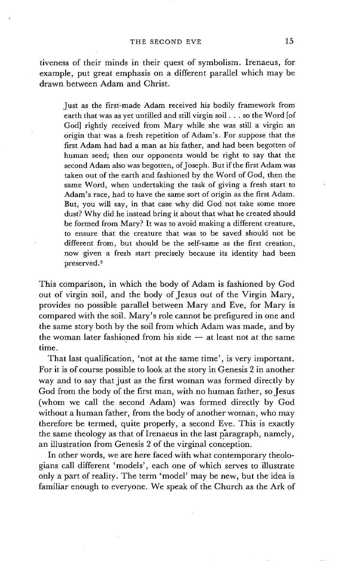tiveness of their minds in their quest of symbolism. Irenaeus, for example, put great emphasis on a different parallel which may be drawn between Adam and Christ.

Just as the first-made Adam received his bodily framework from earth that was as yet untilled and still virgin soil.., so the Word [of God] rightly received from Mary while she was still a virgin an origin that was a fresh repetition of Adam's. For suppose that the first Adam had had a man as his father, and had been begotten of human seed; then our opponents would be right to say that the second Adam also was begotten, of Joseph. But if the first Adam was taken out of the earth and fashioned by the Word of God, then the same Word, when undertaking the task of giving a fresh start to Adam's race, had to have the same sort of origin as the first Adam. But, you will say, in that case why did God not take some more dust? Why did he instead bring it about that what he created should be formed from Mary? It was to avoid making a different creature, to ensure that the creature that was to be saved should not be different from, but should be the self-same as the first creation, now given a fresh start precisely because its identity had been preserved. 5

This comparison, in which the body of Adam is fashioned by God out of virgin soil, and the body of Jesus out of the Virgin Mary, provides no possible parallel between Mary and Eve, for Mary is compared with the soil. Mary's role cannot be prefigured in one and the same story both by the soil from which Adam was made, and by the woman later fashioned from his side  $-$  at least not at the same time.

That last qualification, 'not at the same time', is very important. For it is of course possible to look at the story in Genesis 2 in another way and to say that just as the first woman was formed directly by God from the body of the first man, with no human father, so Jesus (whom we call the second Adam) was formed directly by God without a human father, from the body of another woman, who may therefore be termed, quite properly, a second Eve. This is exactly the same theology as that of Irenaeus in the last paragraph, namely, an illustration from Genesis 2 of the virginal conception.

In other words, we are here faced with what contemporary theologians call different 'models', each one of which serves to illustrate only a part of reality. The term 'model' may be new, but the idea is familiar enough to everyone. We speak of the Church as the Ark of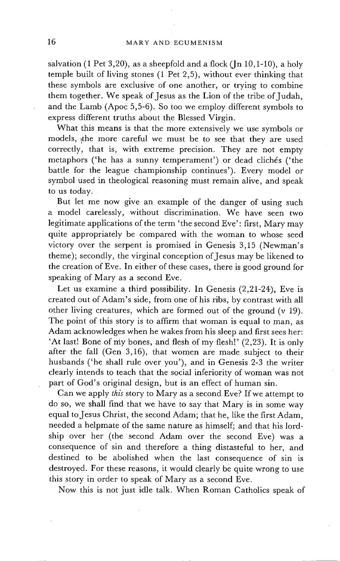salvation (1 Pet  $3,20$ ), as a sheepfold and a flock (Jn  $10,1-10$ ), a holy temple built of living stones (1 Pet 2,5), without ever thinking that these symbols are exclusive of one another, or trying to combine them together. We speak of Jesus as the Lion of the tribe of Judah, and the Lamb (Apoc 5,5-6). So too we employ different symbols to express different truths about the Blessed Virgin.

What this means is that the more extensively we use symbols or models, the more careful we must be to see that they are used correctly, that is, with extreme precision. They are not empty metaphors ('he has a sunny temperament') or dead clichés ('the battle for the league championship continues'). Every model or symbol used in theological reasoning must remain alive, and speak to us today.

But let me now give an example of the danger of using such a model carelessly, without discrimination. We have seen two legitimate applications of the term 'the second Eve': first, Mary may quite appropriately be compared with the woman to whose seed victory over the serpent is promised in Genesis 3,15 (Newman's theme); secondly, the virginal conception of Jesus may be likened to the creation of Eve. In either of these cases, there is good ground for speaking of Mary as a second Eve.

Let us examine a third possibility. In Genesis (2,21-24), Eve is created out of Adam's side, from one of his ribs, by contrast with all other living creatures, which are formed out of the ground  $(v 19)$ . The point of this story is to affirm that woman is equal to man, as Adam acknowledges when he wakes from his sleep and first sees her: 'At last! Bone of my bones, and flesh of my flesh!' (2,23). It is only after the fall (Gen 3,16), that women are made subject to their husbands ('he shall rule over you'), and in Genesis 2-3 the writer clearly intends to teach that the social inferiority of woman was not part of God's original design, but is an effect of human sin.

Can we apply *this* story to Mary as a second Eve? If we attempt to do so, we shall find that we have to say that Mary is in some way equal to Jesus Christ, the second Adam; that he, like the first Adam, needed a helpmate of the same nature as himself; and that his lordship over her (the second Adam over the second Eve) was a consequence of sin and therefore a thing distasteful to her, and destined to be abolished when the last consequence of sin is destroyed. For these reasons, it would clearly be quite wrong to use this story in order to speak of Mary as a second Eve.

Now this is not just idle talk. When Roman Catholics speak of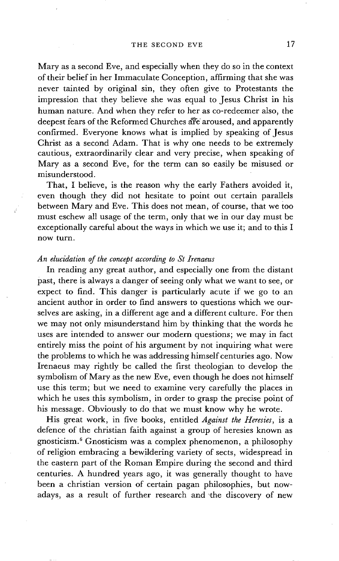Mary as a second Eve, and especially when they do so in the context of their belief in her Immaculate Conception, affirming that she was never tainted by original sin, they often give to Protestants the impression that they believe she was equal to Jesus Christ in his human nature. And when they refer to her as co-redeemer also, the deepest fears of the Reformed Churches are aroused, and apparently confirmed. Everyone knows what is implied by speaking of Jesus Christ as a second Adam. That is why one needs to be extremely cautious, extraordinarily clear and very precise, when speaking of Mary as a second Eve, for the term can so easily be misused or misunderstood.

That, I believe, is the reason why the early Fathers avoided it, even though they did not hesitate to point out certain parallels between Mary and Eve. This does not mean, of course, that we too must eschew all usage of the term, only that we in our day must be exceptionally careful about the ways in which we use it; and to this I now turn.

#### *An elucidation of the concept according to St Irenaeus*

In reading any great author, and especially one from the distant past, there is always a danger of seeing only what we want to see, or expect to find. This danger is particularly acute if we go to an ancient author in order to find answers to questions which we ourselves are asking, in a different age and a different culture. For then we may not only misunderstand him by thinking that the words he uses are intended to answer our modern questions; we may in fact entirely miss the point of his argument by not inquiring what were the problems to which he was addressing himself centuries ago. Now Irenaeus may rightly be called the first theologian to develop the symbolism of Mary as the new Eve, even though he does not himself use this term; but we need to examine very carefully the places in which he uses this symbolism, in order to grasp the precise point of his message. Obviously to do that we must know why he wrote.

His great work, in five books, entitled *Against the Heresies,* is a defence of the christian faith against a group of heresies known as gnosticism. 6 Gnosticism was a complex phenomenon, a philosophy of religion embracing a bewildering variety of sects, widespread in the eastern part of the Roman Empire during the second and third centuries. A hundred years ago, it was generally thought to have been a christian version of certain pagan philosophies, but nowadays, as a result of further research and the discovery of new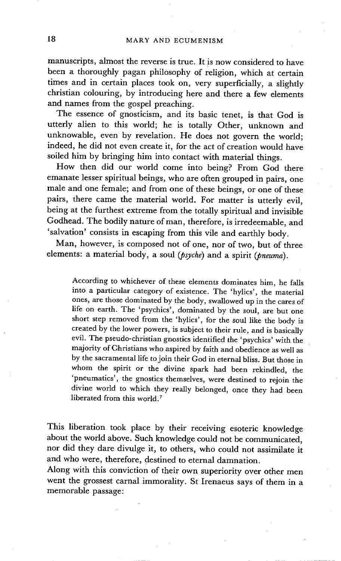manuscripts, almost the reverse is true. It is now considered to have been a thoroughly pagan philosophy of religion, which at certain times and in certain places took on, very superficially, a slightly christian colouring, by introducing here and there a few elements and names from the gospel preaching.

The essence of gnosticism, and its basic tenet, is that God is utterly alien to this world; he is totally Other, unknown and unknowable, even by revelation. He does not govern the world; indeed, he did not even create it, for the act of creation would have soiled him by bringing him into contact with material things.

How then did our world come into being? From God there emanate lesser spiritual beings, who are often grouped in pairs, one male and one female; and from one of these beings, or one of these pairs, there came the material world. For matter is utterly evil, being at the furthest extreme from the totally spiritual and invisible Godhead. The bodily nature of man, therefore, is irredeemable, and 'salvation' consists in escaping from this vile and earthly body.

Man, however, is composed not of one, nor of two, but of three elements: a material body, a soul *(psyche)* and a spirit *(pneuma)*.

According to whichever of these elements dominates him, he falls into a particular category of existence. The 'hylics', the material ones, are those dominated by the body, swallowed up in the cares of life on earth. The 'psychics', dominated by the soul, are but one short step removed from the 'hylics', for the soul like the body is created by the lower powers, is subject to their rule, and is basically evil. The pseudo-christian gnostics identified the 'psychics' with the majority of Christians who aspired by faith and obedience as well as by the sacramental life to join their God in eternal bliss. But those in whom the spirit or the divine spark had been rekindled, the 'pneumatics', the gnostics themselves, were destined to rejoin the divine world to which they really belonged, once they had been liberated from this world.<sup>7</sup>

This liberation took place by their receiving esoteric knowledge about the world above. Such knowledge could not be communicated, nor did they dare divulge it, to others, who could not assimilate it and who were, therefore, destined to eternal damnation.

Along with this conviction of their own superiority over other men went the grossest carnal immorality. St Irenaeus says of them in a memorable passage: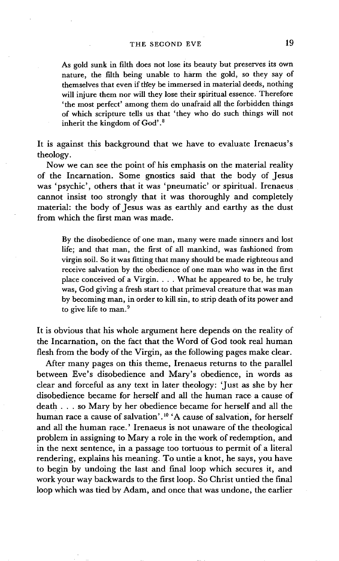As gold sunk in filth does not lose its beauty but preserves its own nature, the filth being unable to harm the gold, so they say of themselves that even if they be immersed in material deeds, nothing will injure them nor will they lose their spiritual essence. Therefore 'the most perfect' among them do unafraid all the forbidden things of which scripture tells us that 'they who do such things will not inherit the kingdom of God' .8

It is against this background that we have to evaluate Irenaeus's theology.

Now we can see the point of his emphasis on the material reality of the Incarnation. Some gnostics said that the body of Jesus was 'psychic', others that it was 'pneumatic' or spiritual. Irenaeus cannot insist too strongly that it was thoroughly and completely material: the body of Jesus was as earthly and earthy as the dust from which the first man was made.

By the disobedience of one man, many were made sinners and lost life; and that man, the first of all mankind, was fashioned from virgin soil. So it was fitting that many should be made righteous and receive salvation by the obedience of one man who was in the first place conceived of a Virgin. . . . What he appeared to be, he truly was, God giving a fresh start to that primeval creature that was man by becoming man, in order to kill sin, to strip death of its power and to give life to man.<sup>9</sup>

It is obvious that his whole argument here depends on the reality of the Incarnation, on the fact that the Word of God took real human flesh from the body of the Virgin, as the following pages make clear.

After many pages on this theme, Irenaeus returns to the parallel between Eve's disobedience and Mary's obedience, in words as clear and forceful as any text in later theology: 'Just as she by her disobedience became for herself and all the human race a cause of death.., so Mary by her obedience became for herself and all the human race a cause of salvation'.<sup>10</sup> 'A cause of salvation, for herself and all the human race.' Irenaeus is not unaware of the theological problem in assigning to Mary a role in the work of redemption, and in the next sentence, in a passage too tortuous to permit of a literal rendering, explains his meaning. To untie a knot, he says, you have to begin by undoing the last and final loop which secures it, and work your way backwards to the first loop. So Christ untied the final loop which was tied by Adam, and once that was undone, the earlier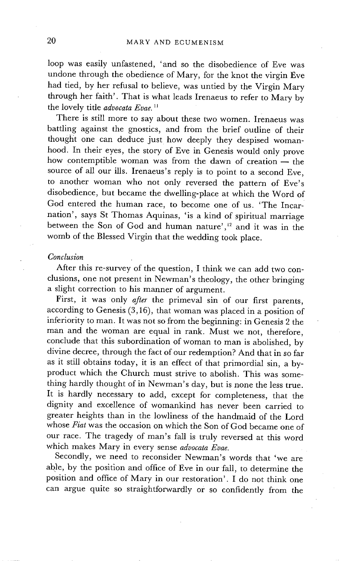loop was easily unfastened, 'and so the disobedience of Eve was undone through the obedience of Mary, for the knot the virgin Eve had tied, by her refusal to believe, was untied by the Virgin Mary through her faith'. That is what leads Irenaeus to refer to Mary by the lovely title *advocata Evae. 11* 

There is still more to say about these two women. Irenaeus was battling against the gnostics, and from the brief outline of their thought one can deduce just how deeply they despised womanhood. In their eyes, the story of Eve in Genesis would only prove how contemptible woman was from the dawn of creation $-$  the source of all our ills. Irenaeus's reply is to point to a second Eve, to another woman who not only reversed the pattern of Eve's disobedience, but became the dwelling-place at which the Word of God entered the human race, to become one of us. 'The Incarnation', says St Thomas Aquinas, 'is a kind of spiritual marriage between the Son of God and human nature',<sup>12</sup> and it was in the womb of the Blessed Virgin that the wedding took place.

### *Conclusion*

After this re-survey of the question, I think we can add two conclusions, one not present in Newman's theology, the other bringing a slight correction to his manner of argument.

First, it was only *after* the primeval sin of our first parents, according to Genesis  $(3,16)$ , that woman was placed in a position of inferiority to man. It was not so from the beginning: in Genesis 2 the man and the woman are equal in rank. Must we not, therefore, conclude that this subordination of woman to man is abolished, by divine decree, through the fact of our redemption? And that in so far as it still obtains today, it is an effect of that primordial sin, a byproduct which the Church must strive to abolish. This was something hardly thought of in Newman's day, but is none the less true. It is hardly necessary to add, except for completeness, that the dignity and excellence of womankind has never been carried to greater heights than in the lowliness of the handmaid of the Lord whose *Fiat* was the occasion on which the Son of God became one of our race. The tragedy of man's fall is truly reversed at this word which makes Mary in every sense *advocata Evae.* 

Secondly, we need to reconsider Newman's words that 'we are able, by the position and office of Eve in our fall, to determine the position and office of Mary in our restoration'. I do not think one can argue quite so straightforwardly or so confidently from the